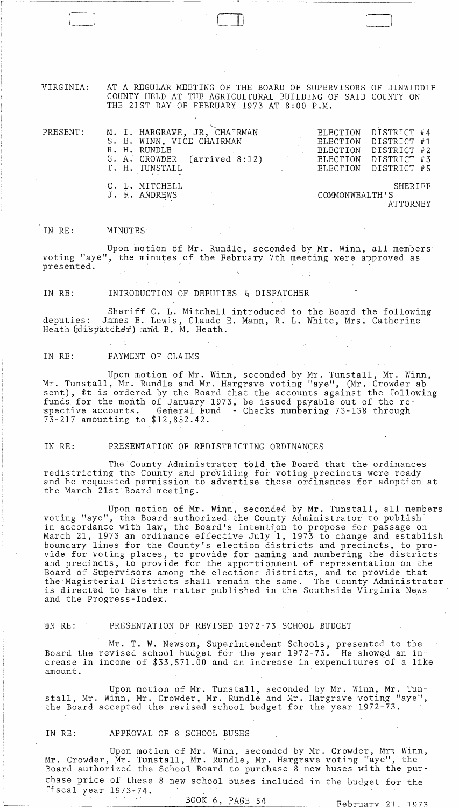VIRGINIA: AT A REGULAR MEETING OF THE BOARD OF SUPERVISORS OF DINWIDDIE COUNTY HELD AT THE AGRICULTURAL BUILDING OF SAID COUNTY ON THE 21ST DAY OF FEBRUARY 1973 AT 8:00 P.M.

 $\Box$ 

| PRESENT: |  | S. E. WINN, VICE CHAIRMAN.<br>R. H. RUNDLE<br>T. H. TUNSTALL | M. I. HARGRAWE, JR, CHAIRMAN<br>G. A. CROWDER (arrived 8:12) |  |  | ELECTION DISTRICT #4<br>ELECTION DISTRICT #1<br>ELECTION DISTRICT #2<br>ELECTION DISTRICT #3<br>ELECTION DISTRICT #5 |  |
|----------|--|--------------------------------------------------------------|--------------------------------------------------------------|--|--|----------------------------------------------------------------------------------------------------------------------|--|
|          |  | C. L. MITCHELL<br>J. E. ANDREWS                              | SHERIFF<br>COMMONWEALTH'S<br><b>ATTORNEY</b>                 |  |  |                                                                                                                      |  |

#### IN RE: MINUTES

Upon motion bf Mr. Rundle, seconded by Mr. Winn, all members voting "aye", the minutes of the February 7th meeting were approved as presented.

IN RE: INTRODUCTION OF DEPUTIES & DISPATCHER

Sheriff C. L. Mitchell introduced to the Board the following deputies: James E. Lewis, Claude E. Mann, R. L. White, Mrs. Catherine Heath (dispatcher) :and B. M. Heath.

IN RE: PAYMENT OF CLAIMS

Upon motion of Mr. Winn, seconded by Mr. Tunstall, Mr. Winn, Mr. Tunstall, Mr. Rundle and Mr, Hargrave voting "aye", (Mr. Crowder absent), it is ordered by the Board that the accounts against the following funds for the month of January 1973, be issued payable out of the re-<br>spective accounts. General Fund - Checks numbering 73-138 through General Fund - Checks numbering 73-138 through 73-217 amounting to \$12,852.42.

### IN RE: PRESENTATION OF REDISTRICTING ORDINANCES

The County Administrator told the Board that the ordinances redistricting the County and providing for voting precincts were ready and he requested permission to advertise these ordinances for adoption at the March 21st Board meeting.

Upon motion of Mr. Winn, seconded by Mr. Tunstall, all members voting "aye", the Board-authorized the County Administrator to publish in accordance with law, the Board's intention to propose for passage on March 21, 1973 an ordinance effective July 1, 1973 to change and establish boundary lines for the County's election districts and precincts, to provide for voting places, to provide for naming and numbering the districts and precincts, to provide for the apportionment of representation on the Board of Supervisors among the elections districts, and to provide that the'Magisteria1 Districts shall remain the same. The County Administrator is directed to have the matter published in the Southside Virginia News and the Progress-Index.

## UN RE: PRESENTATION OF REVISED 1972-73 SCHOOL BUDGET

Mr. T. W. Newsom, Superintendent Schools, presented to the Board the revised school budget for the year  $1972-73$ . He showed an increase in income of \$33,571.00 and an increase in expenditures of a like amount.

Upon motion of Mr. Tunstall, seconded by Mr. Winn, Mr. Tunstall, Mr. Winn, Mr. Crowder, Mr. Rundle and Mr. Hargrave voting "aye", the Board accepted the revised school budget for the year 1972-73.

# IN RE: APPROVAL OF 8 SCHOOL BUSES

Upon motion of Mr. Winn, seconded by Mr. Crowder, Mr. Winn, Mr. Crowder, Mr. Tunstall, Mr. Rundle, Mr. Hargrave voting "aye", the Board authorized the School Board to purchase 8 new buses with the purchase price of these 8 new school buses included in the budget for the fiscal year 1973-14.

BOOK 6, PAGE 54 February 21, 1973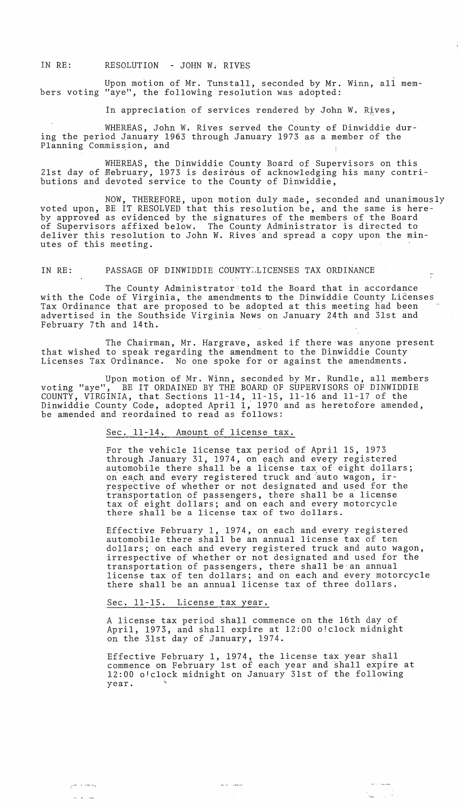IN RE: RESOLUTION - JOHN W; RIVES

Upon motion of Mr. Tunstall, seconded by Mr. Winn, all members voting "aye", the following resolution was adopted:

In appreciation of services rendered by John W. Rives,

WHEREAS, John W. Rives served the County of Dinwiddie during the period January 1963 through January 1973 as a member of the Planning Commission, and

WHEREAS, the Dinwiddie County Board of Supervisors on this 21st day of Hebruary, 1973 is desirous of acknowledging his many contributions and devoted service to the County of Dinwiddie,

NOW, THEREFORE, upon motion duly made, seconded and unanimously voted upon, BE IT RESOLVED that this resolution be, and the same is hereby approved as evidenced by the signatures of the members of the Board of Supervisors affixed below. The County Administrator is directed to deliver this resolution to John W. Rives 'and spread a copy upon the minutes of this meeting.

IN RE: PASSAGE OF DINWIDDIE COUNTYLLICENSES TAX ORDINANCE

The County Administrator:told the Board that in accordance with the Code of Virginia, the amendments to the Dinwiddie County Licenses Tax Ordinance that are proposed to be adopted at this meeting had been advertised in the Southside Virginia News on January 24th and 31st and February 7th and 14th.

 $\hat{z}$ 

The Chairman, Mr. Hargrave, asked if there was anyone present that wished to speak regarding the amendment to the Dinwiddie County Licenses Tax Ordinance. No one spoke for or against the amendments.

Upon motion of Mr. Winn, seconded by Mr. Rundle, all members voting "aye", BE IT ORDAINED BY THE BOARD OF SUPERVISORS OF DINWIDDIE COUNTY, VIRGINIA, that Sections 11-14, 11-15, 11-16 and 11-17 of the Dinwiddie County Code, adopted April 1, 1970 and as heretofore amended, be amended and reordained to read as follows:

Sec. 11-14. Amount of license tax.

For the vehicle license tax period of April 15, 1973 through January 31, 1974, on each and every registered automobile there shall be a license tax of eight dollars; on each and every registered truck and auto wagon, irrespective of whether or not designated and used for the transportation of passengers, there shall be a license tax of eight dollars; and on each and every motorcycle there shall be a license tax of two dollars.

Effective February 1, 1974, on each and every registered automobile there shall be an annual license tax of ten dollars; on each and every registered truck and auto wagon, irrespective of whether or not designated and used for the transportation of passengers, there shall be'an annual license tax of ten dollars; and on each and every motorcycle there shall be an annual license tax of three dollars.

## Sec. 11-15. License tax year.

A license tax period shall commence on the 16th day of April, 1973, and shall expire at 12:00 o!clock midnight on the 31st day of January, 1974.

Effective February 1, 1974, the license tax year shall commence on February 1st of each year and shall expire at 12:00 o'clock midnight on January 31st of the following year.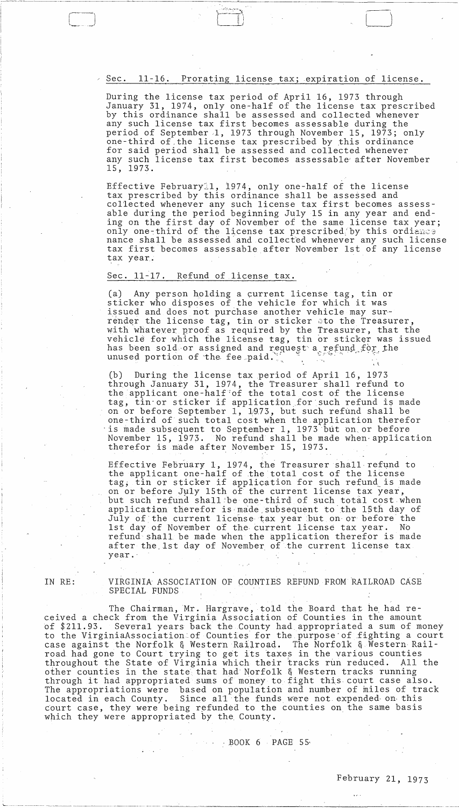Sec. 11-16. Prorating license tax; expiration of license.

During the license tax period of April 16, 1973 through January 31, 1974, only one-half of the license tax prescribed by this ordinance shall be assessed and collected whenever any such license tax first becomes assessable during the period of September 1, 1973 through November IS, 1973; only one-third of the license tax prescribed by this ordinance for said period shall be assessed and collected whenever any such license tax first becomes assessable after November 15,1973.

Effective Februaryll, 1974, only one-half of the license tax prescribed by this ordinance shall be assessed and collected whenever any such license tax first becomes assessable during the period beginning July IS in any year and ending on the first day of November of the same license tax year; only one-third of the license tax prescribed by this ordiance nance shall be assessed· and collect'ed whenever any such license tax first becomes assessable after November 1st of any license tax year.

# Sec. 11-17. Refund of license tax.

Any person holding a current license tag, tin or sticker who disposes of the vehicle for which it was issued and does not purchase another vehicle may surrender the license tag, tin or sticker ato the Treasurer, with whatever proof as required by the Treasurer, that the vehicle for which the license tag, tin or sticker was issued has been sold or assigned and request a refund for the unused portion of the fee paid.  $, \, \cdot \,$ 

(b) During the license tax period of April 16, 1973 through January 31, 1974, the Treasurer shall refund to the applicant one-half of the total cost of the license tag, tin or sticker if application for such refund is made on or before September 1, 1'9,73, but such refund shall be one-third of such total *coit* when the application therefor is made subsequent to September 1, 1973 but on or before November IS, 1973. No refund shall be made when· application therefor is made after November 15, 1973.

Effective February 1, 1974, the Treasurer shall-refund to the applicant one-half of the total cost of the license tag, tin or sticker if application for such refund is made on or before July 15th of the current license tax year, but such refund shall·be one-third of such totil cost when application therefor is made subsequent to the 15th day of July of the current license tax year but on or before the 1st day of November of the current license tax year. No refund shall be made when the application therefor is made after the 1st day of November of the current license tax year ..

IN RE:

r-=--=J

VIRGINIA ASSOCIATION OF COUNTIES REFUND FROM RAILROAD CASE SPECIAL FUNDS

The Chairman, Mr. Hargrave, told the Board that he had received a check from the Virginia Association of Counties in the amount bf \$211.93. Several years back the County had appropriated a sum of money to the VirginiaAssociation of Counties for the purpose of fighting a court<br>case against the Norfolk & Western Railroad. The Norfolk & Western Railcase against the Norfolk & Western Railroad. road had gone to Court trying to get its taxes in the various counties throughout the State of Virginia which their tracks run reduced. All the other counties in the state that had Norfolk & Western tracks running through it had appropriated sums of money to fight this. court case also. The appropriations were based on population and number of miles of track located in each County. Since all the funds were not expended on this court case, they were being refunded to the counties on the same basis which they were appropriated by the County.

\...- -\_. -- -------- "--\_.\_------ .~~.--~--- \_ ... \_------- - \_\_\_\_\_\_\_\_\_\_ ~ \_\_ ~ \_\_\_\_ ...c-. \_\_\_ \_\_'\_\_\_ \_\_\_\_\_\_ . \_\_\_\_\_\_\_ . \_\_

**. BOOK 6 PAGE 55**